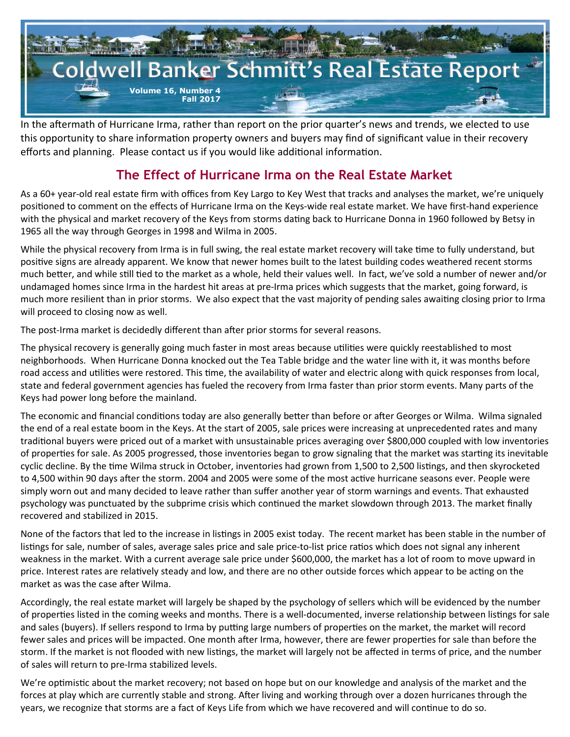

In the aftermath of Hurricane Irma, rather than report on the prior quarter's news and trends, we elected to use this opportunity to share information property owners and buyers may find of significant value in their recovery efforts and planning. Please contact us if you would like additional information.

### **The Effect of Hurricane Irma on the Real Estate Market**

As a 60+ year-old real estate firm with offices from Key Largo to Key West that tracks and analyses the market, we're uniquely positioned to comment on the effects of Hurricane Irma on the Keys-wide real estate market. We have first-hand experience with the physical and market recovery of the Keys from storms dating back to Hurricane Donna in 1960 followed by Betsy in 1965 all the way through Georges in 1998 and Wilma in 2005.

While the physical recovery from Irma is in full swing, the real estate market recovery will take time to fully understand, but positive signs are already apparent. We know that newer homes built to the latest building codes weathered recent storms much better, and while still tied to the market as a whole, held their values well. In fact, we've sold a number of newer and/or undamaged homes since Irma in the hardest hit areas at pre-Irma prices which suggests that the market, going forward, is much more resilient than in prior storms. We also expect that the vast majority of pending sales awaiting closing prior to Irma will proceed to closing now as well.

The post-Irma market is decidedly different than after prior storms for several reasons.

The physical recovery is generally going much faster in most areas because utilities were quickly reestablished to most neighborhoods. When Hurricane Donna knocked out the Tea Table bridge and the water line with it, it was months before road access and utilities were restored. This time, the availability of water and electric along with quick responses from local, state and federal government agencies has fueled the recovery from Irma faster than prior storm events. Many parts of the Keys had power long before the mainland.

The economic and financial conditions today are also generally better than before or after Georges or Wilma. Wilma signaled the end of a real estate boom in the Keys. At the start of 2005, sale prices were increasing at unprecedented rates and many traditional buyers were priced out of a market with unsustainable prices averaging over \$800,000 coupled with low inventories of properties for sale. As 2005 progressed, those inventories began to grow signaling that the market was starting its inevitable cyclic decline. By the time Wilma struck in October, inventories had grown from 1,500 to 2,500 listings, and then skyrocketed to 4,500 within 90 days after the storm. 2004 and 2005 were some of the most active hurricane seasons ever. People were simply worn out and many decided to leave rather than suffer another year of storm warnings and events. That exhausted psychology was punctuated by the subprime crisis which continued the market slowdown through 2013. The market finally recovered and stabilized in 2015.

None of the factors that led to the increase in listings in 2005 exist today. The recent market has been stable in the number of listings for sale, number of sales, average sales price and sale price-to-list price ratios which does not signal any inherent weakness in the market. With a current average sale price under \$600,000, the market has a lot of room to move upward in price. Interest rates are relatively steady and low, and there are no other outside forces which appear to be acting on the market as was the case after Wilma.

Accordingly, the real estate market will largely be shaped by the psychology of sellers which will be evidenced by the number of properties listed in the coming weeks and months. There is a well-documented, inverse relationship between listings for sale and sales (buyers). If sellers respond to Irma by putting large numbers of properties on the market, the market will record fewer sales and prices will be impacted. One month after Irma, however, there are fewer properties for sale than before the storm. If the market is not flooded with new listings, the market will largely not be affected in terms of price, and the number of sales will return to pre-Irma stabilized levels.

We're optimistic about the market recovery; not based on hope but on our knowledge and analysis of the market and the forces at play which are currently stable and strong. After living and working through over a dozen hurricanes through the years, we recognize that storms are a fact of Keys Life from which we have recovered and will continue to do so.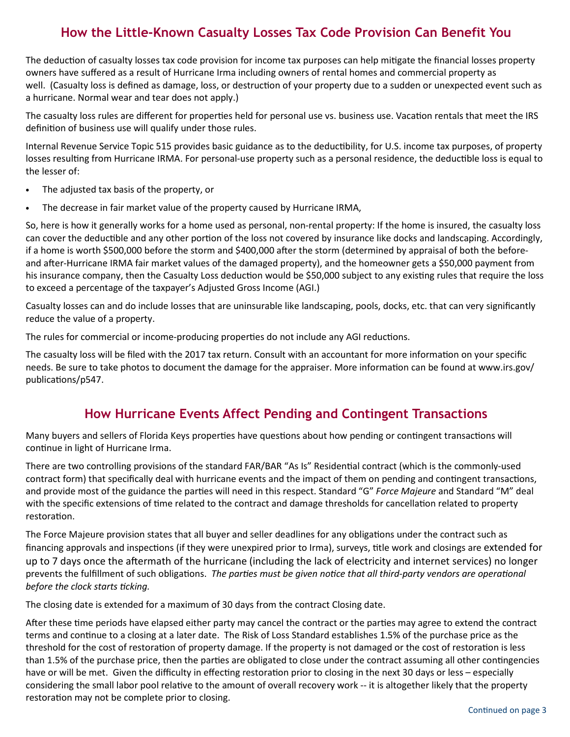### **How the Little-Known Casualty Losses Tax Code Provision Can Benefit You**

The deduction of casualty losses tax code provision for income tax purposes can help mitigate the financial losses property owners have suffered as a result of Hurricane Irma including owners of rental homes and commercial property as well. (Casualty loss is defined as damage, loss, or destruction of your property due to a sudden or unexpected event such as a hurricane. Normal wear and tear does not apply.)

The casualty loss rules are different for properties held for personal use vs. business use. Vacation rentals that meet the IRS definition of business use will qualify under those rules.

Internal Revenue Service Topic 515 provides basic guidance as to the deducbility, for U.S. income tax purposes, of property losses resulting from Hurricane IRMA. For personal-use property such as a personal residence, the deductible loss is equal to the lesser of:

- The adjusted tax basis of the property, or
- The decrease in fair market value of the property caused by Hurricane IRMA,

So, here is how it generally works for a home used as personal, non-rental property: If the home is insured, the casualty loss can cover the deductible and any other portion of the loss not covered by insurance like docks and landscaping. Accordingly, if a home is worth \$500,000 before the storm and \$400,000 after the storm (determined by appraisal of both the beforeand after-Hurricane IRMA fair market values of the damaged property), and the homeowner gets a \$50,000 payment from his insurance company, then the Casualty Loss deduction would be \$50,000 subject to any existing rules that require the loss to exceed a percentage of the taxpayer's Adjusted Gross Income (AGI.)

Casualty losses can and do include losses that are uninsurable like landscaping, pools, docks, etc. that can very significantly reduce the value of a property.

The rules for commercial or income-producing properties do not include any AGI reductions.

The casualty loss will be filed with the 2017 tax return. Consult with an accountant for more information on your specific needs. Be sure to take photos to document the damage for the appraiser. More information can be found at www.irs.gov/ publications/p547.

#### **How Hurricane Events Affect Pending and Contingent Transactions**

Many buyers and sellers of Florida Keys properties have questions about how pending or contingent transactions will continue in light of Hurricane Irma.

There are two controlling provisions of the standard FAR/BAR "As Is" Residential contract (which is the commonly-used contract form) that specifically deal with hurricane events and the impact of them on pending and contingent transactions, and provide most of the guidance the parties will need in this respect. Standard "G" *Force Majeure* and Standard "M" deal with the specific extensions of time related to the contract and damage thresholds for cancellation related to property restoration.

The Force Majeure provision states that all buyer and seller deadlines for any obligations under the contract such as financing approvals and inspections (if they were unexpired prior to Irma), surveys, title work and closings are extended for up to 7 days once the aftermath of the hurricane (including the lack of electricity and internet services) no longer prevents the fulfillment of such obligations. The parties must be given notice that all third-party vendors are operational *before the clock starts ticking.* 

The closing date is extended for a maximum of 30 days from the contract Closing date.

After these time periods have elapsed either party may cancel the contract or the parties may agree to extend the contract terms and continue to a closing at a later date. The Risk of Loss Standard establishes 1.5% of the purchase price as the threshold for the cost of restoration of property damage. If the property is not damaged or the cost of restoration is less than 1.5% of the purchase price, then the parties are obligated to close under the contract assuming all other contingencies have or will be met. Given the difficulty in effecting restoration prior to closing in the next 30 days or less – especially considering the small labor pool relative to the amount of overall recovery work -- it is altogether likely that the property restoration may not be complete prior to closing.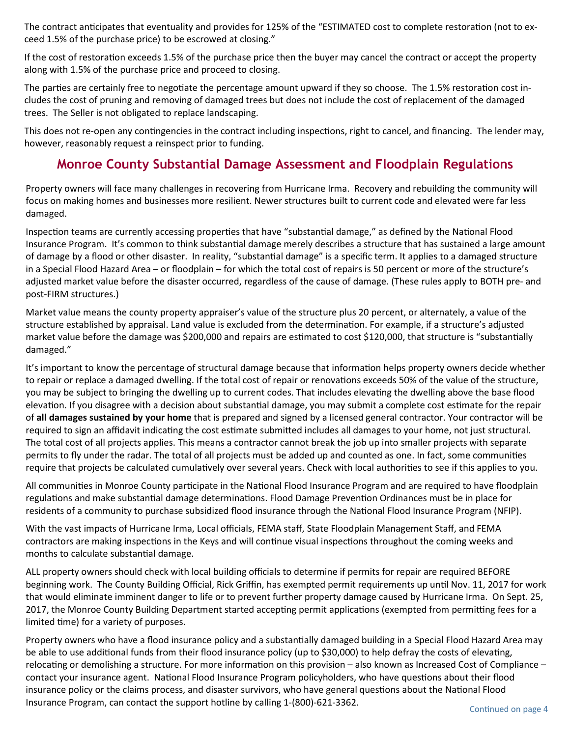The contract anticipates that eventuality and provides for 125% of the "ESTIMATED cost to complete restoration (not to exceed 1.5% of the purchase price) to be escrowed at closing."

If the cost of restoration exceeds 1.5% of the purchase price then the buyer may cancel the contract or accept the property along with 1.5% of the purchase price and proceed to closing.

The parties are certainly free to negotiate the percentage amount upward if they so choose. The 1.5% restoration cost includes the cost of pruning and removing of damaged trees but does not include the cost of replacement of the damaged trees. The Seller is not obligated to replace landscaping.

This does not re-open any contingencies in the contract including inspections, right to cancel, and financing. The lender may, however, reasonably request a reinspect prior to funding.

### **Monroe County Substantial Damage Assessment and Floodplain Regulations**

Property owners will face many challenges in recovering from Hurricane Irma. Recovery and rebuilding the community will focus on making homes and businesses more resilient. Newer structures built to current code and elevated were far less damaged.

Inspection teams are currently accessing properties that have "substantial damage," as defined by the National Flood Insurance Program. It's common to think substantial damage merely describes a structure that has sustained a large amount of damage by a flood or other disaster. In reality, "substantial damage" is a specific term. It applies to a damaged structure in a Special Flood Hazard Area – or floodplain – for which the total cost of repairs is 50 percent or more of the structure's adjusted market value before the disaster occurred, regardless of the cause of damage. (These rules apply to BOTH pre- and post-FIRM structures.)

Market value means the county property appraiser's value of the structure plus 20 percent, or alternately, a value of the structure established by appraisal. Land value is excluded from the determination. For example, if a structure's adjusted market value before the damage was \$200,000 and repairs are estimated to cost \$120,000, that structure is "substantially damaged."

It's important to know the percentage of structural damage because that information helps property owners decide whether to repair or replace a damaged dwelling. If the total cost of repair or renovations exceeds 50% of the value of the structure, you may be subject to bringing the dwelling up to current codes. That includes elevating the dwelling above the base flood elevation. If you disagree with a decision about substantial damage, you may submit a complete cost estimate for the repair of **all damages sustained by your home** that is prepared and signed by a licensed general contractor. Your contractor will be required to sign an affidavit indicating the cost estimate submitted includes all damages to your home, not just structural. The total cost of all projects applies. This means a contractor cannot break the job up into smaller projects with separate permits to fly under the radar. The total of all projects must be added up and counted as one. In fact, some communities require that projects be calculated cumulatively over several years. Check with local authorities to see if this applies to you.

All communities in Monroe County participate in the National Flood Insurance Program and are required to have floodplain regulations and make substantial damage determinations. Flood Damage Prevention Ordinances must be in place for residents of a community to purchase subsidized flood insurance through the National Flood Insurance Program (NFIP).

With the vast impacts of Hurricane Irma, Local officials, FEMA staff, State Floodplain Management Staff, and FEMA contractors are making inspections in the Keys and will continue visual inspections throughout the coming weeks and months to calculate substantial damage.

ALL property owners should check with local building officials to determine if permits for repair are required BEFORE beginning work. The County Building Official, Rick Griffin, has exempted permit requirements up until Nov. 11, 2017 for work that would eliminate imminent danger to life or to prevent further property damage caused by Hurricane Irma. On Sept. 25, 2017, the Monroe County Building Department started accepting permit applications (exempted from permitting fees for a limited time) for a variety of purposes.

Property owners who have a flood insurance policy and a substantially damaged building in a Special Flood Hazard Area may be able to use additional funds from their flood insurance policy (up to \$30,000) to help defray the costs of elevating, relocating or demolishing a structure. For more information on this provision – also known as Increased Cost of Compliance – contact your insurance agent. National Flood Insurance Program policyholders, who have questions about their flood insurance policy or the claims process, and disaster survivors, who have general questions about the National Flood Insurance Program, can contact the support hotline by calling 1-(800)-621-3362.